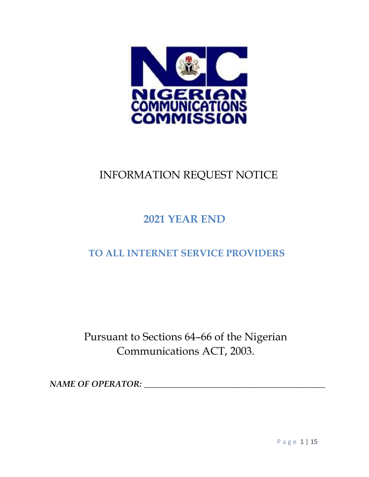

## INFORMATION REQUEST NOTICE

# **2021 YEAR END**

## **TO ALL INTERNET SERVICE PROVIDERS**

Pursuant to Sections 64–66 of the Nigerian Communications ACT, 2003.

*NAME OF OPERATOR:*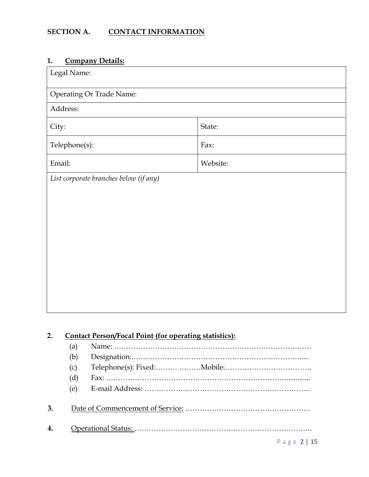## **SECTION A. CONTACT INFORMATION**

## **1. Company Details:**

| Legal Name:                                                         |                              |
|---------------------------------------------------------------------|------------------------------|
| <b>Operating Or Trade Name:</b>                                     |                              |
| Address:                                                            |                              |
| City:                                                               | State:                       |
| Telephone(s):                                                       | Fax:                         |
| Email:                                                              | Website:                     |
| List corporate branches below (if any)                              |                              |
|                                                                     |                              |
|                                                                     |                              |
|                                                                     |                              |
|                                                                     |                              |
|                                                                     |                              |
|                                                                     |                              |
|                                                                     |                              |
|                                                                     |                              |
|                                                                     |                              |
|                                                                     |                              |
|                                                                     |                              |
| <b>Contact Person/Focal Point (for operating statistics):</b><br>2. |                              |
| (a)                                                                 |                              |
| (b)<br>(c)                                                          | Telephone(s): Fixed: Mobile: |
| (d)                                                                 |                              |
| (e)                                                                 |                              |
| 3.                                                                  |                              |
| 4.                                                                  |                              |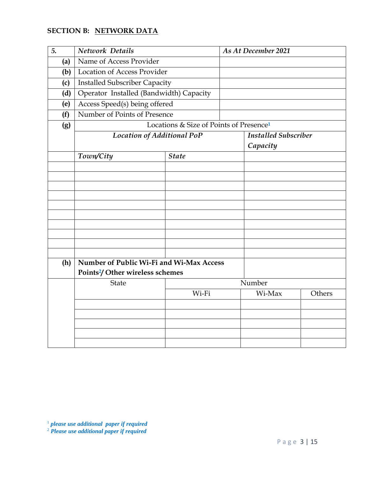## **SECTION B: NETWORK DATA**

| 5.  | Network Details                             |                                                     | As At December 2021 |                             |        |
|-----|---------------------------------------------|-----------------------------------------------------|---------------------|-----------------------------|--------|
| (a) | Name of Access Provider                     |                                                     |                     |                             |        |
| (b) | <b>Location of Access Provider</b>          |                                                     |                     |                             |        |
| (c) | <b>Installed Subscriber Capacity</b>        |                                                     |                     |                             |        |
| (d) | Operator Installed (Bandwidth) Capacity     |                                                     |                     |                             |        |
| (e) | Access Speed(s) being offered               |                                                     |                     |                             |        |
| (f) | Number of Points of Presence                |                                                     |                     |                             |        |
| (g) |                                             | Locations & Size of Points of Presence <sup>1</sup> |                     |                             |        |
|     | Location of Additional PoP                  |                                                     |                     | <b>Installed Subscriber</b> |        |
|     |                                             |                                                     |                     | Capacity                    |        |
|     | Town/City                                   | <b>State</b>                                        |                     |                             |        |
|     |                                             |                                                     |                     |                             |        |
|     |                                             |                                                     |                     |                             |        |
|     |                                             |                                                     |                     |                             |        |
|     |                                             |                                                     |                     |                             |        |
|     |                                             |                                                     |                     |                             |        |
|     |                                             |                                                     |                     |                             |        |
|     |                                             |                                                     |                     |                             |        |
|     |                                             |                                                     |                     |                             |        |
|     |                                             |                                                     |                     |                             |        |
| (h) | Number of Public Wi-Fi and Wi-Max Access    |                                                     |                     |                             |        |
|     | Points <sup>2</sup> /Other wireless schemes |                                                     |                     |                             |        |
|     | State                                       |                                                     |                     | Number                      |        |
|     |                                             | Wi-Fi                                               |                     | Wi-Max                      | Others |
|     |                                             |                                                     |                     |                             |        |
|     |                                             |                                                     |                     |                             |        |
|     |                                             |                                                     |                     |                             |        |
|     |                                             |                                                     |                     |                             |        |

<sup>1</sup> *please use additional paper if required* 

<sup>2</sup> *Please use additional paper if required*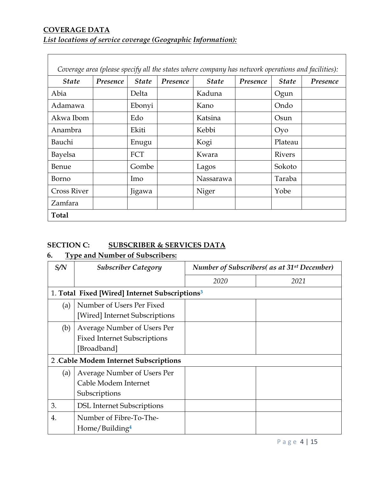## **COVERAGE DATA** *List locations of service coverage (Geographic Information):*

| Coverage area (please specify all the states where company has network operations and facilities): |          |              |          |              |          |                 |          |
|----------------------------------------------------------------------------------------------------|----------|--------------|----------|--------------|----------|-----------------|----------|
| <b>State</b>                                                                                       | Presence | <b>State</b> | Presence | <b>State</b> | Presence | <b>State</b>    | Presence |
| Abia                                                                                               |          | Delta        |          | Kaduna       |          | Ogun            |          |
| Adamawa                                                                                            |          | Ebonyi       |          | Kano         |          | Ondo            |          |
| Akwa Ibom                                                                                          |          | Edo          |          | Katsina      |          | Osun            |          |
| Anambra                                                                                            |          | Ekiti        |          | Kebbi        |          | Oy <sub>0</sub> |          |
| Bauchi                                                                                             |          | Enugu        |          | Kogi         |          | Plateau         |          |
| Bayelsa                                                                                            |          | FCT          |          | Kwara        |          | <b>Rivers</b>   |          |
| <b>Benue</b>                                                                                       |          | Gombe        |          | Lagos        |          | Sokoto          |          |
| Borno                                                                                              |          | Imo          |          | Nassarawa    |          | Taraba          |          |
| <b>Cross River</b>                                                                                 |          | Jigawa       |          | Niger        |          | Yobe            |          |
| Zamfara                                                                                            |          |              |          |              |          |                 |          |
| <b>Total</b>                                                                                       |          |              |          |              |          |                 |          |

## **SECTION C: SUBSCRIBER & SERVICES DATA**

## **6. Type and Number of Subscribers:**

| S/N | <b>Subscriber Category</b>                                                        | <b>Number of Subscribers</b> (as at 31 <sup>st</sup> December) |      |  |
|-----|-----------------------------------------------------------------------------------|----------------------------------------------------------------|------|--|
|     |                                                                                   | 2020                                                           | 2021 |  |
|     | 1. Total Fixed [Wired] Internet Subscriptions <sup>3</sup>                        |                                                                |      |  |
| (a) | Number of Users Per Fixed<br>[Wired] Internet Subscriptions                       |                                                                |      |  |
| (b) | Average Number of Users Per<br><b>Fixed Internet Subscriptions</b><br>[Broadband] |                                                                |      |  |
|     | 2. Cable Modem Internet Subscriptions                                             |                                                                |      |  |
| (a) | Average Number of Users Per<br>Cable Modem Internet<br>Subscriptions              |                                                                |      |  |
| 3.  | <b>DSL Internet Subscriptions</b>                                                 |                                                                |      |  |
| 4.  | Number of Fibre-To-The-<br>Home/Building <sup>4</sup>                             |                                                                |      |  |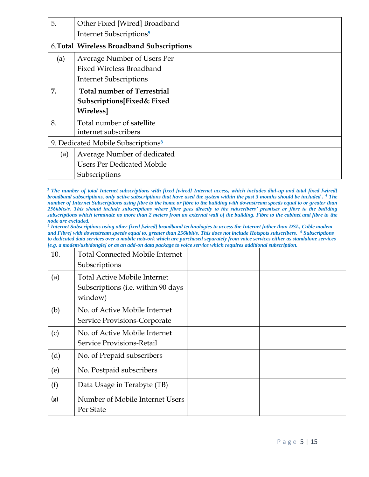| 5.  | Other Fixed [Wired] Broadband<br>Internet Subscriptions <sup>5</sup>                            |  |
|-----|-------------------------------------------------------------------------------------------------|--|
|     | 6. Total Wireless Broadband Subscriptions                                                       |  |
| (a) | Average Number of Users Per<br><b>Fixed Wireless Broadband</b><br><b>Internet Subscriptions</b> |  |
| 7.  | <b>Total number of Terrestrial</b><br>Subscriptions[Fixed& Fixed<br><b>Wireless</b>             |  |
| 8.  | Total number of satellite<br>internet subscribers                                               |  |
|     | 9. Dedicated Mobile Subscriptions <sup>6</sup>                                                  |  |
| (a) | Average Number of dedicated<br><b>Users Per Dedicated Mobile</b><br>Subscriptions               |  |

<sup>3</sup> The number of total Internet subscriptions with fixed [wired] Internet access, which includes dial-up and total fixed [wired] *broadband subscriptions, only active subscriptions that have used the system within the past 3 months should be included . <sup>4</sup> The number of Internet Subscriptions using fibre to the home or fibre to the building with downstream speeds equal to or greater than 256kbits/s. This should include subscriptions where fibre goes directly to the subscribers' premises or fibre to the building subscriptions which terminate no more than 2 meters from an external wall of the building. Fibre to the cabinet and fibre to the node are excluded.* 

*5 Internet Subscriptions using other fixed [wired] broadband technologies to access the Internet [other than DSL, Cable modem and Fibre] with downstream speeds equal to, greater than 256kbit/s. This does not include Hotspots subscribers. <sup>6</sup> Subscriptions to dedicated data services over a mobile network which are purchased separately from voice services either as standalone services [e.g. a modem/usb/dongle] or as an add-on data package to voice service which requires additional subscription.*

| 10. | <b>Total Connected Mobile Internet</b>        |  |
|-----|-----------------------------------------------|--|
|     | Subscriptions                                 |  |
| (a) | <b>Total Active Mobile Internet</b>           |  |
|     | Subscriptions (i.e. within 90 days<br>window) |  |
| (b) | No. of Active Mobile Internet                 |  |
|     | Service Provisions-Corporate                  |  |
| (c) | No. of Active Mobile Internet                 |  |
|     | Service Provisions-Retail                     |  |
| (d) | No. of Prepaid subscribers                    |  |
| (e) | No. Postpaid subscribers                      |  |
| (f) | Data Usage in Terabyte (TB)                   |  |
| (g) | Number of Mobile Internet Users               |  |
|     | Per State                                     |  |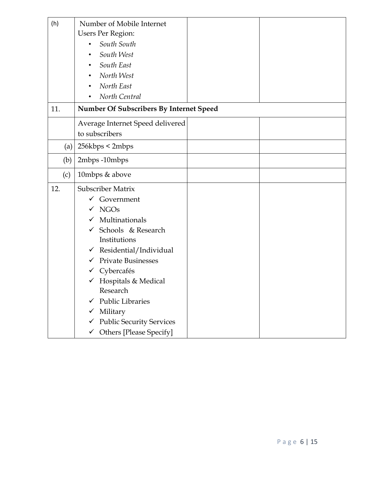| (h) | Number of Mobile Internet                          |  |
|-----|----------------------------------------------------|--|
|     | <b>Users Per Region:</b>                           |  |
|     | South South<br>$\bullet$                           |  |
|     | South West<br>$\bullet$                            |  |
|     | South East                                         |  |
|     | North West                                         |  |
|     | North East                                         |  |
|     | North Central                                      |  |
| 11. | Number Of Subscribers By Internet Speed            |  |
|     | Average Internet Speed delivered<br>to subscribers |  |
| (a) | 256kbps < 2mbps                                    |  |
| (b) | 2mbps-10mbps                                       |  |
| (c) | 10mbps & above                                     |  |
| 12. | Subscriber Matrix                                  |  |
|     | $\checkmark$ Government                            |  |
|     | $\checkmark$ NGOs                                  |  |
|     | Multinationals                                     |  |
|     | Schools & Research<br>$\checkmark$                 |  |
|     | Institutions                                       |  |
|     | $\checkmark$ Residential/Individual                |  |
|     | <b>Private Businesses</b><br>$\checkmark$          |  |
|     | Cybercafés<br>✓                                    |  |
|     | $\checkmark$ Hospitals & Medical                   |  |
|     | Research                                           |  |
|     | <b>Public Libraries</b>                            |  |
|     | Military<br>v.                                     |  |
|     | <b>Public Security Services</b><br>✓               |  |
|     | <b>Others</b> [Please Specify]<br>$\checkmark$     |  |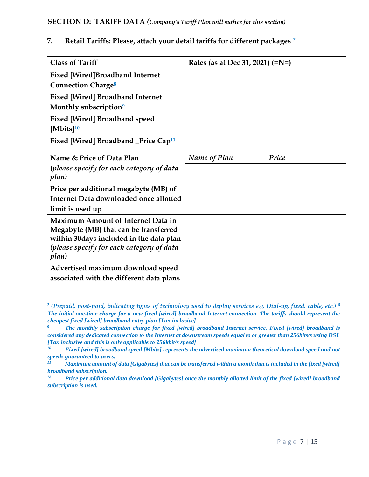#### **7. Retail Tariffs: Please, attach your detail tariffs for different packages** *<sup>7</sup>*

| <b>Class of Tariff</b>                           | Rates (as at Dec 31, 2021) (=N=) |       |
|--------------------------------------------------|----------------------------------|-------|
| <b>Fixed [Wired]Broadband Internet</b>           |                                  |       |
| <b>Connection Charge<sup>8</sup></b>             |                                  |       |
| <b>Fixed [Wired] Broadband Internet</b>          |                                  |       |
| Monthly subscription <sup>9</sup>                |                                  |       |
| <b>Fixed [Wired] Broadband speed</b>             |                                  |       |
| [Mbits] $10$                                     |                                  |       |
| Fixed [Wired] Broadband _Price Cap <sup>11</sup> |                                  |       |
| Name & Price of Data Plan                        | Name of Plan                     | Price |
| (please specify for each category of data        |                                  |       |
| plan)                                            |                                  |       |
| Price per additional megabyte (MB) of            |                                  |       |
| Internet Data downloaded once allotted           |                                  |       |
| limit is used up                                 |                                  |       |
| <b>Maximum Amount of Internet Data in</b>        |                                  |       |
| Megabyte (MB) that can be transferred            |                                  |       |
| within 30 days included in the data plan         |                                  |       |
| (please specify for each category of data        |                                  |       |
| plan)                                            |                                  |       |
| Advertised maximum download speed                |                                  |       |
| associated with the different data plans         |                                  |       |

*<sup>7</sup> (Prepaid, post-paid, indicating types of technology used to deploy services e.g. Dial-up, fixed, cable, etc.) <sup>8</sup> The initial one-time charge for a new fixed [wired] broadband Internet connection. The tariffs should represent the cheapest fixed [wired] broadband entry plan [Tax inclusive]*

*<sup>9</sup> The monthly subscription charge for fixed [wired] broadband Internet service. Fixed [wired] broadband is considered any dedicated connection to the Internet at downstream speeds equal to or greater than 256bits/s using DSL [Tax inclusive and this is only applicable to 256kbit/s speed]* 

*<sup>10</sup> Fixed [wired] broadband speed [Mbits] represents the advertised maximum theoretical download speed and not speeds guaranteed to users.* 

*<sup>11</sup> Maximum amount of data [Gigabytes] that can be transferred within a month that is included in the fixed [wired] broadband subscription.* 

*<sup>12</sup> Price per additional data download [Gigabytes] once the monthly allotted limit of the fixed [wired] broadband subscription is used.*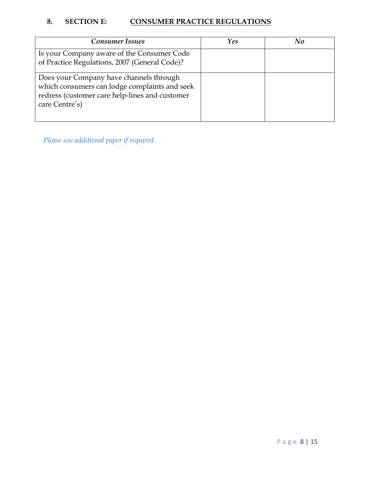## 8. SECTION E: **CONSUMER PRACTICE REGULATIONS**

| <b>Consumer Issues</b>                                                                                                                                       | Yes | No |
|--------------------------------------------------------------------------------------------------------------------------------------------------------------|-----|----|
| Is your Company aware of the Consumer Code<br>of Practice Regulations, 2007 (General Code)?                                                                  |     |    |
| Does your Company have channels through<br>which consumers can lodge complaints and seek<br>redress (customer care help-lines and customer<br>care Centre's) |     |    |

*Please use additional paper if required*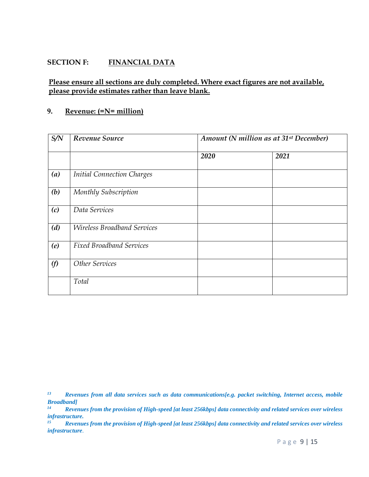#### **SECTION F: FINANCIAL DATA**

#### **Please ensure all sections are duly completed. Where exact figures are not available, please provide estimates rather than leave blank.**

#### **9. Revenue: (=N= million)**

| S/N | Revenue Source                     | Amount (N million as at 31 <sup>st</sup> December) |      |  |
|-----|------------------------------------|----------------------------------------------------|------|--|
|     |                                    | 2020                                               | 2021 |  |
| (a) | <b>Initial Connection Charges</b>  |                                                    |      |  |
| (b) | Monthly Subscription               |                                                    |      |  |
| (c) | Data Services                      |                                                    |      |  |
| (d) | <b>Wireless Broadband Services</b> |                                                    |      |  |
| (e) | <b>Fixed Broadband Services</b>    |                                                    |      |  |
| (f) | Other Services                     |                                                    |      |  |
|     | Total                              |                                                    |      |  |

*<sup>13</sup> Revenues from all data services such as data communications[e.g. packet switching, Internet access, mobile Broadband]* 

*<sup>14</sup> Revenues from the provision of High-speed [at least 256kbps] data connectivity and related services over wireless infrastructure.* 

*<sup>15</sup> Revenues from the provision of High-speed [at least 256kbps] data connectivity and related services over wireless infrastructure*.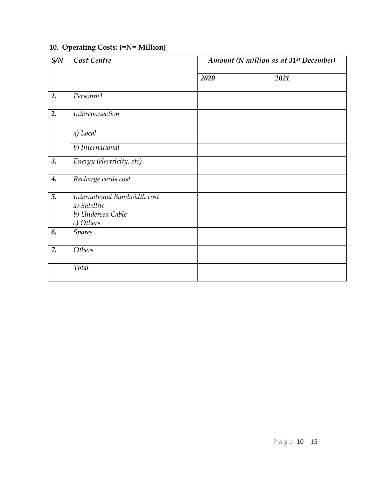## **10. Operating Costs: (=N= Million)**

| S/N | Cost Centre                                                                    |      | Amount (N million as at 31 <sup>st</sup> December) |  |  |
|-----|--------------------------------------------------------------------------------|------|----------------------------------------------------|--|--|
|     |                                                                                | 2020 | 2021                                               |  |  |
| 1.  | Personnel                                                                      |      |                                                    |  |  |
| 2.  | Interconnection                                                                |      |                                                    |  |  |
|     | a) Local                                                                       |      |                                                    |  |  |
|     | b) International                                                               |      |                                                    |  |  |
| 3.  | Energy (electricity, etc)                                                      |      |                                                    |  |  |
| 4.  | Recharge cards cost                                                            |      |                                                    |  |  |
| 5.  | International Bandwidth cost<br>a) Satellite<br>b) Undersea Cable<br>c) Others |      |                                                    |  |  |
| 6.  | <b>Spares</b>                                                                  |      |                                                    |  |  |
| 7.  | Others                                                                         |      |                                                    |  |  |
|     | Total                                                                          |      |                                                    |  |  |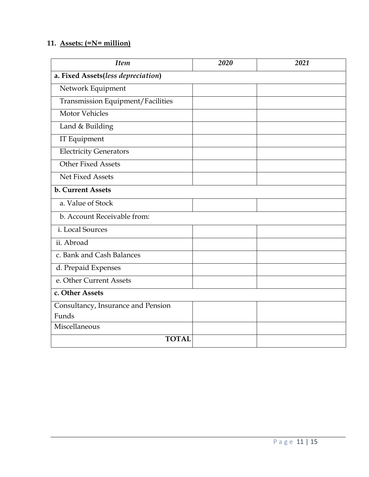## **11. Assets: (=N= million)**

| <b>Item</b>                        | 2020 | 2021 |  |  |  |  |
|------------------------------------|------|------|--|--|--|--|
| a. Fixed Assets(less depreciation) |      |      |  |  |  |  |
| Network Equipment                  |      |      |  |  |  |  |
| Transmission Equipment/Facilities  |      |      |  |  |  |  |
| <b>Motor Vehicles</b>              |      |      |  |  |  |  |
| Land & Building                    |      |      |  |  |  |  |
| IT Equipment                       |      |      |  |  |  |  |
| <b>Electricity Generators</b>      |      |      |  |  |  |  |
| <b>Other Fixed Assets</b>          |      |      |  |  |  |  |
| Net Fixed Assets                   |      |      |  |  |  |  |
| <b>b. Current Assets</b>           |      |      |  |  |  |  |
| a. Value of Stock                  |      |      |  |  |  |  |
| b. Account Receivable from:        |      |      |  |  |  |  |
| i. Local Sources                   |      |      |  |  |  |  |
| ii. Abroad                         |      |      |  |  |  |  |
| c. Bank and Cash Balances          |      |      |  |  |  |  |
| d. Prepaid Expenses                |      |      |  |  |  |  |
| e. Other Current Assets            |      |      |  |  |  |  |
| c. Other Assets                    |      |      |  |  |  |  |
| Consultancy, Insurance and Pension |      |      |  |  |  |  |
| Funds                              |      |      |  |  |  |  |
| Miscellaneous                      |      |      |  |  |  |  |
| <b>TOTAL</b>                       |      |      |  |  |  |  |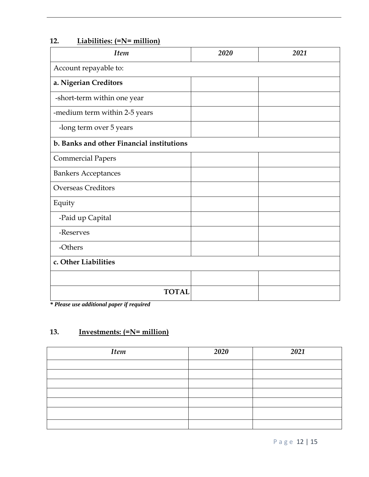| <b>Item</b>                               | 2020 | 2021 |
|-------------------------------------------|------|------|
| Account repayable to:                     |      |      |
| a. Nigerian Creditors                     |      |      |
| -short-term within one year               |      |      |
| -medium term within 2-5 years             |      |      |
| -long term over 5 years                   |      |      |
| b. Banks and other Financial institutions |      |      |
| <b>Commercial Papers</b>                  |      |      |
| <b>Bankers Acceptances</b>                |      |      |
| <b>Overseas Creditors</b>                 |      |      |
| Equity                                    |      |      |
| -Paid up Capital                          |      |      |
| -Reserves                                 |      |      |
| -Others                                   |      |      |
| c. Other Liabilities                      |      |      |
|                                           |      |      |
| <b>TOTAL</b>                              |      |      |

### **12. Liabilities: (=N= million)**

*\* Please use additional paper if required*

### **13. Investments: (=N= million)**

| <b>Item</b> | 2020 | 2021 |
|-------------|------|------|
|             |      |      |
|             |      |      |
|             |      |      |
|             |      |      |
|             |      |      |
|             |      |      |
|             |      |      |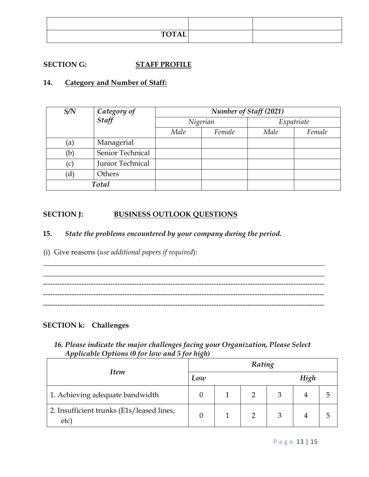| <b>TOTAL</b> |  |
|--------------|--|

### **SECTION G: STAFF PROFILE**

#### **14. Category and Number of Staff:**

| S/N | Category of<br>Staff |          |        | Number of Staff (2021) |        |  |
|-----|----------------------|----------|--------|------------------------|--------|--|
|     |                      | Nigerian |        | Expatriate             |        |  |
|     |                      | Male     | Female | Male                   | Female |  |
| (a) | Managerial           |          |        |                        |        |  |
| (b) | Senior Technical     |          |        |                        |        |  |
| (c) | Junior Technical     |          |        |                        |        |  |
| (d) | Others               |          |        |                        |        |  |
|     | Total                |          |        |                        |        |  |

#### **SECTION J: BUSINESS OUTLOOK QUESTIONS**

#### **15.** *State the problems encountered by your company during the period.*

(i) Give reasons (*use additional papers if required*):

\_\_\_\_\_\_\_\_\_\_\_\_\_\_\_\_\_\_\_\_\_\_\_\_\_\_\_\_\_\_\_\_\_\_\_\_\_\_\_\_\_\_\_\_\_\_\_\_\_\_\_\_\_\_\_\_\_\_\_\_\_\_\_\_\_\_\_\_\_\_\_\_\_\_\_\_\_\_ --------------------------------------------------------------------------------------------------------------------- ---------------------------------------------------------------------------------------------------------------------

\_\_\_\_\_\_\_\_\_\_\_\_\_\_\_\_\_\_\_\_\_\_\_\_\_\_\_\_\_\_\_\_\_\_\_\_\_\_\_\_\_\_\_\_\_\_\_\_\_\_\_\_\_\_\_\_\_\_\_\_\_\_\_\_\_\_\_\_\_\_\_\_\_\_\_\_\_\_

#### **SECTION k: Challenges**

*16. Please indicate the major challenges facing your Organization, Please Select Applicable Options (0 for low and 5 for high)*

|                                                  | Rating |  |  |  |      |    |  |
|--------------------------------------------------|--------|--|--|--|------|----|--|
| <b>Item</b>                                      | Low    |  |  |  | High |    |  |
| 1. Achieving adequate bandwidth                  |        |  |  |  |      | 5  |  |
| 2. Insufficient trunks (E1s/leased lines,<br>etc |        |  |  |  |      | C, |  |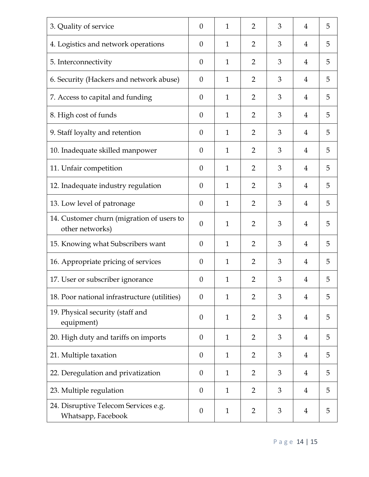| 3. Quality of service                                        | $\theta$         | $\mathbf{1}$ | $\overline{2}$ | 3 | $\overline{4}$ | 5 |
|--------------------------------------------------------------|------------------|--------------|----------------|---|----------------|---|
| 4. Logistics and network operations                          | $\theta$         | $\mathbf{1}$ | $\overline{2}$ | 3 | 4              | 5 |
| 5. Interconnectivity                                         | $\theta$         | $\mathbf{1}$ | $\overline{2}$ | 3 | 4              | 5 |
| 6. Security (Hackers and network abuse)                      | $\theta$         | $\mathbf{1}$ | $\overline{2}$ | 3 | 4              | 5 |
| 7. Access to capital and funding                             | $\overline{0}$   | $\mathbf{1}$ | $\overline{2}$ | 3 | 4              | 5 |
| 8. High cost of funds                                        | $\theta$         | 1            | 2              | 3 | 4              | 5 |
| 9. Staff loyalty and retention                               | $\theta$         | $\mathbf{1}$ | $\overline{2}$ | 3 | 4              | 5 |
| 10. Inadequate skilled manpower                              | $\theta$         | $\mathbf{1}$ | $\overline{2}$ | 3 | 4              | 5 |
| 11. Unfair competition                                       | $\theta$         | $\mathbf{1}$ | $\overline{2}$ | 3 | $\overline{4}$ | 5 |
| 12. Inadequate industry regulation                           | $\theta$         | $\mathbf{1}$ | $\overline{2}$ | 3 | 4              | 5 |
| 13. Low level of patronage                                   | $\theta$         | $\mathbf{1}$ | $\overline{2}$ | 3 | 4              | 5 |
| 14. Customer churn (migration of users to<br>other networks) | $\theta$         | $\mathbf{1}$ | $\overline{2}$ | 3 | 4              | 5 |
| 15. Knowing what Subscribers want                            | $\theta$         | $\mathbf{1}$ | $\overline{2}$ | 3 | $\overline{4}$ | 5 |
| 16. Appropriate pricing of services                          | $\theta$         | $\mathbf{1}$ | $\overline{2}$ | 3 | 4              | 5 |
| 17. User or subscriber ignorance                             | $\boldsymbol{0}$ | $\mathbf{1}$ | $\overline{2}$ | 3 | 4              | 5 |
| 18. Poor national infrastructure (utilities)                 | $\overline{0}$   | $\mathbf{1}$ | $\overline{2}$ | 3 | $\overline{4}$ | 5 |
| 19. Physical security (staff and<br>equipment)               | $\theta$         | 1            | $\overline{2}$ | 3 | 4              | 5 |
| 20. High duty and tariffs on imports                         | $\overline{0}$   | $\mathbf{1}$ | $\overline{2}$ | 3 | $\overline{4}$ | 5 |
| 21. Multiple taxation                                        | $\theta$         | $\mathbf{1}$ | $\overline{2}$ | 3 | $\overline{4}$ | 5 |
| 22. Deregulation and privatization                           | $\theta$         | $\mathbf{1}$ | $\overline{2}$ | 3 | 4              | 5 |
| 23. Multiple regulation                                      | $\theta$         | $\mathbf{1}$ | $\overline{2}$ | 3 | $\overline{4}$ | 5 |
| 24. Disruptive Telecom Services e.g.<br>Whatsapp, Facebook   | $\theta$         | $\mathbf{1}$ | $\overline{2}$ | 3 | 4              | 5 |